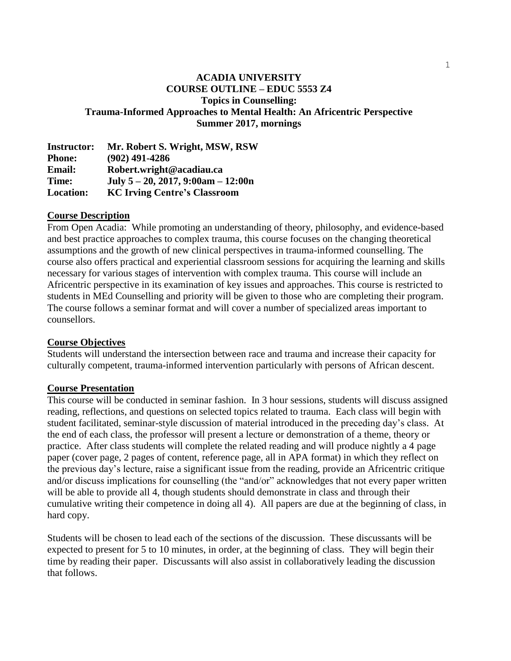## **ACADIA UNIVERSITY COURSE OUTLINE – EDUC 5553 Z4 Topics in Counselling: Trauma-Informed Approaches to Mental Health: An Africentric Perspective Summer 2017, mornings**

**Instructor: Mr. Robert S. Wright, MSW, RSW Phone: (902) 491-4286 Email: Robert.wright@acadiau.ca Time: July 5 – 20, 2017, 9:00am – 12:00n Location: KC Irving Centre's Classroom**

### **Course Description**

From Open Acadia: While promoting an understanding of theory, philosophy, and evidence-based and best practice approaches to complex trauma, this course focuses on the changing theoretical assumptions and the growth of new clinical perspectives in trauma-informed counselling. The course also offers practical and experiential classroom sessions for acquiring the learning and skills necessary for various stages of intervention with complex trauma. This course will include an Africentric perspective in its examination of key issues and approaches. This course is restricted to students in MEd Counselling and priority will be given to those who are completing their program. The course follows a seminar format and will cover a number of specialized areas important to counsellors.

### **Course Objectives**

Students will understand the intersection between race and trauma and increase their capacity for culturally competent, trauma-informed intervention particularly with persons of African descent.

### **Course Presentation**

This course will be conducted in seminar fashion. In 3 hour sessions, students will discuss assigned reading, reflections, and questions on selected topics related to trauma. Each class will begin with student facilitated, seminar-style discussion of material introduced in the preceding day's class. At the end of each class, the professor will present a lecture or demonstration of a theme, theory or practice. After class students will complete the related reading and will produce nightly a 4 page paper (cover page, 2 pages of content, reference page, all in APA format) in which they reflect on the previous day's lecture, raise a significant issue from the reading, provide an Africentric critique and/or discuss implications for counselling (the "and/or" acknowledges that not every paper written will be able to provide all 4, though students should demonstrate in class and through their cumulative writing their competence in doing all 4). All papers are due at the beginning of class, in hard copy.

Students will be chosen to lead each of the sections of the discussion. These discussants will be expected to present for 5 to 10 minutes, in order, at the beginning of class. They will begin their time by reading their paper. Discussants will also assist in collaboratively leading the discussion that follows.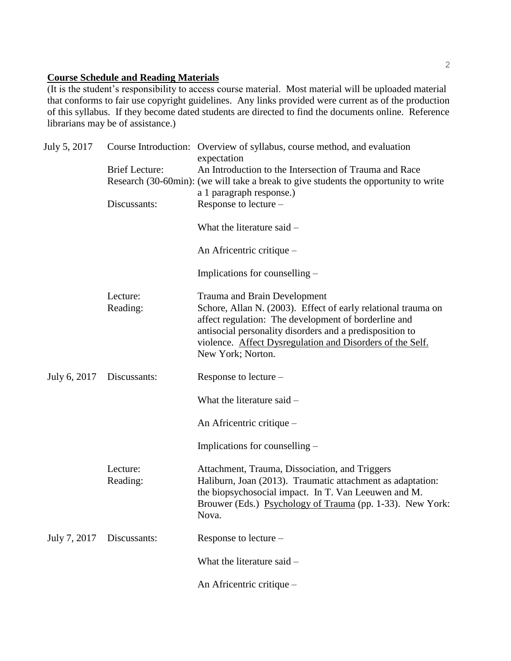# **Course Schedule and Reading Materials**

(It is the student's responsibility to access course material. Most material will be uploaded material that conforms to fair use copyright guidelines. Any links provided were current as of the production of this syllabus. If they become dated students are directed to find the documents online. Reference librarians may be of assistance.)

| July 5, 2017 |                       | Course Introduction: Overview of syllabus, course method, and evaluation<br>expectation                               |
|--------------|-----------------------|-----------------------------------------------------------------------------------------------------------------------|
|              | <b>Brief Lecture:</b> | An Introduction to the Intersection of Trauma and Race                                                                |
|              |                       | Research (30-60min): (we will take a break to give students the opportunity to write                                  |
|              |                       | a 1 paragraph response.)                                                                                              |
|              | Discussants:          | Response to lecture -                                                                                                 |
|              |                       | What the literature said -                                                                                            |
|              |                       | An Africentric critique –                                                                                             |
|              |                       | Implications for counselling –                                                                                        |
|              | Lecture:              | <b>Trauma and Brain Development</b>                                                                                   |
|              | Reading:              | Schore, Allan N. (2003). Effect of early relational trauma on                                                         |
|              |                       | affect regulation: The development of borderline and                                                                  |
|              |                       | antisocial personality disorders and a predisposition to<br>violence. Affect Dysregulation and Disorders of the Self. |
|              |                       | New York; Norton.                                                                                                     |
| July 6, 2017 | Discussants:          | Response to lecture –                                                                                                 |
|              |                       | What the literature said -                                                                                            |
|              |                       | An Africentric critique -                                                                                             |
|              |                       | Implications for counselling –                                                                                        |
|              | Lecture:              | Attachment, Trauma, Dissociation, and Triggers                                                                        |
|              | Reading:              | Haliburn, Joan (2013). Traumatic attachment as adaptation:                                                            |
|              |                       | the biopsychosocial impact. In T. Van Leeuwen and M.                                                                  |
|              |                       | Brouwer (Eds.) Psychology of Trauma (pp. 1-33). New York:<br>Nova.                                                    |
| July 7, 2017 | Discussants:          | Response to lecture -                                                                                                 |
|              |                       | What the literature said -                                                                                            |
|              |                       | An Africentric critique -                                                                                             |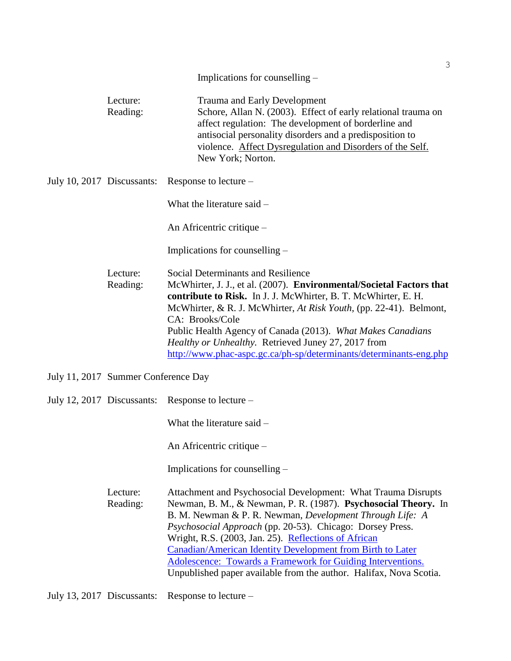|                            |                                     | Implications for counselling –                                                                                                                                                                                                                                                                                                                                                                                                                                                                                             |
|----------------------------|-------------------------------------|----------------------------------------------------------------------------------------------------------------------------------------------------------------------------------------------------------------------------------------------------------------------------------------------------------------------------------------------------------------------------------------------------------------------------------------------------------------------------------------------------------------------------|
|                            |                                     |                                                                                                                                                                                                                                                                                                                                                                                                                                                                                                                            |
|                            | Lecture:<br>Reading:                | <b>Trauma and Early Development</b><br>Schore, Allan N. (2003). Effect of early relational trauma on<br>affect regulation: The development of borderline and<br>antisocial personality disorders and a predisposition to<br>violence. Affect Dysregulation and Disorders of the Self.<br>New York; Norton.                                                                                                                                                                                                                 |
| July 10, 2017 Discussants: |                                     | Response to lecture –                                                                                                                                                                                                                                                                                                                                                                                                                                                                                                      |
|                            |                                     | What the literature said -                                                                                                                                                                                                                                                                                                                                                                                                                                                                                                 |
|                            |                                     | An Africentric critique –                                                                                                                                                                                                                                                                                                                                                                                                                                                                                                  |
|                            |                                     | Implications for counselling –                                                                                                                                                                                                                                                                                                                                                                                                                                                                                             |
|                            | Lecture:<br>Reading:                | Social Determinants and Resilience<br>McWhirter, J. J., et al. (2007). Environmental/Societal Factors that<br>contribute to Risk. In J. J. McWhirter, B. T. McWhirter, E. H.<br>McWhirter, & R. J. McWhirter, At Risk Youth, (pp. 22-41). Belmont,<br>CA: Brooks/Cole<br>Public Health Agency of Canada (2013). What Makes Canadians<br>Healthy or Unhealthy. Retrieved Juney 27, 2017 from<br>http://www.phac-aspc.gc.ca/ph-sp/determinants/determinants-eng.php                                                          |
|                            | July 11, 2017 Summer Conference Day |                                                                                                                                                                                                                                                                                                                                                                                                                                                                                                                            |
| July 12, 2017 Discussants: |                                     | Response to lecture –                                                                                                                                                                                                                                                                                                                                                                                                                                                                                                      |
|                            |                                     | What the literature said -                                                                                                                                                                                                                                                                                                                                                                                                                                                                                                 |
|                            |                                     | An Africentric critique –                                                                                                                                                                                                                                                                                                                                                                                                                                                                                                  |
|                            |                                     | Implications for counselling –                                                                                                                                                                                                                                                                                                                                                                                                                                                                                             |
|                            | Lecture:<br>Reading:                | Attachment and Psychosocial Development: What Trauma Disrupts<br>Newman, B. M., & Newman, P. R. (1987). Psychosocial Theory. In<br>B. M. Newman & P. R. Newman, Development Through Life: A<br>Psychosocial Approach (pp. 20-53). Chicago: Dorsey Press.<br>Wright, R.S. (2003, Jan. 25). Reflections of African<br>Canadian/American Identity Development from Birth to Later<br><b>Adolescence: Towards a Framework for Guiding Interventions.</b><br>Unpublished paper available from the author. Halifax, Nova Scotia. |

July 13, 2017 Discussants: Response to lecture –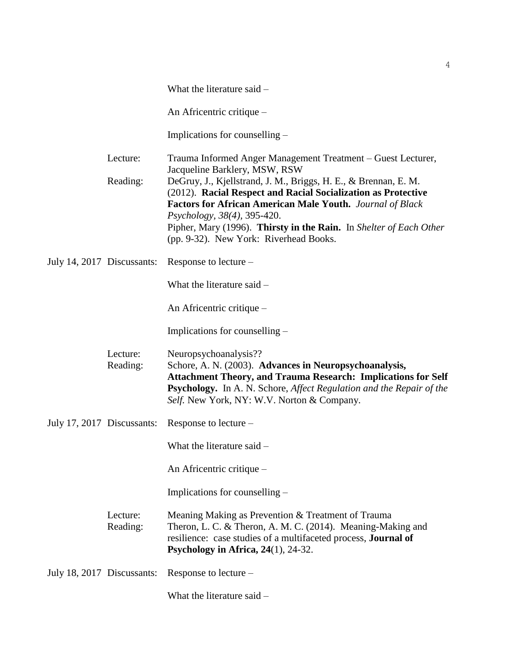|                            |                      | What the literature said -                                                                                                                                                                                                                                                                                                                                                                                                                    |  |
|----------------------------|----------------------|-----------------------------------------------------------------------------------------------------------------------------------------------------------------------------------------------------------------------------------------------------------------------------------------------------------------------------------------------------------------------------------------------------------------------------------------------|--|
|                            |                      | An Africentric critique –                                                                                                                                                                                                                                                                                                                                                                                                                     |  |
|                            |                      | Implications for counselling –                                                                                                                                                                                                                                                                                                                                                                                                                |  |
|                            | Lecture:<br>Reading: | Trauma Informed Anger Management Treatment - Guest Lecturer,<br>Jacqueline Barklery, MSW, RSW<br>DeGruy, J., Kjellstrand, J. M., Briggs, H. E., & Brennan, E. M.<br>(2012). Racial Respect and Racial Socialization as Protective<br>Factors for African American Male Youth. Journal of Black<br>Psychology, 38(4), 395-420.<br>Pipher, Mary (1996). Thirsty in the Rain. In Shelter of Each Other<br>(pp. 9-32). New York: Riverhead Books. |  |
| July 14, 2017 Discussants: |                      | Response to lecture –                                                                                                                                                                                                                                                                                                                                                                                                                         |  |
|                            |                      | What the literature said -                                                                                                                                                                                                                                                                                                                                                                                                                    |  |
|                            |                      | An Africentric critique -                                                                                                                                                                                                                                                                                                                                                                                                                     |  |
|                            |                      | Implications for counselling –                                                                                                                                                                                                                                                                                                                                                                                                                |  |
|                            | Lecture:<br>Reading: | Neuropsychoanalysis??<br>Schore, A. N. (2003). Advances in Neuropsychoanalysis,<br><b>Attachment Theory, and Trauma Research: Implications for Self</b><br>Psychology. In A. N. Schore, Affect Regulation and the Repair of the<br>Self. New York, NY: W.V. Norton & Company.                                                                                                                                                                 |  |
| July 17, 2017 Discussants: |                      | Response to lecture –                                                                                                                                                                                                                                                                                                                                                                                                                         |  |
|                            |                      | What the literature said –                                                                                                                                                                                                                                                                                                                                                                                                                    |  |
|                            |                      | An Africentric critique –                                                                                                                                                                                                                                                                                                                                                                                                                     |  |
|                            |                      | Implications for counselling –                                                                                                                                                                                                                                                                                                                                                                                                                |  |
|                            | Lecture:<br>Reading: | Meaning Making as Prevention & Treatment of Trauma<br>Theron, L. C. & Theron, A. M. C. (2014). Meaning-Making and<br>resilience: case studies of a multifaceted process, Journal of<br>Psychology in Africa, $24(1)$ , $24-32$ .                                                                                                                                                                                                              |  |
| July 18, 2017 Discussants: |                      | Response to lecture –                                                                                                                                                                                                                                                                                                                                                                                                                         |  |
|                            |                      | What the literature said -                                                                                                                                                                                                                                                                                                                                                                                                                    |  |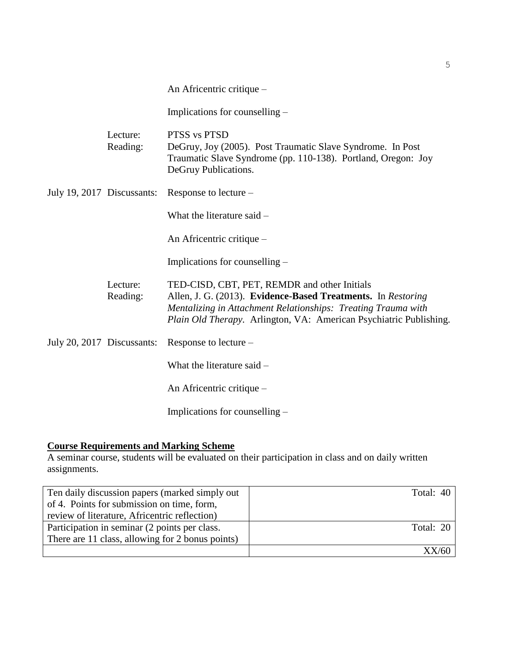| An Africentric critique – |  |
|---------------------------|--|
|                           |  |

Implications for counselling –

| Lecture:<br>Reading:       | PTSS vs PTSD<br>DeGruy, Joy (2005). Post Traumatic Slave Syndrome. In Post<br>Traumatic Slave Syndrome (pp. 110-138). Portland, Oregon: Joy<br>DeGruy Publications.                                                                                        |
|----------------------------|------------------------------------------------------------------------------------------------------------------------------------------------------------------------------------------------------------------------------------------------------------|
| July 19, 2017 Discussants: | Response to lecture –                                                                                                                                                                                                                                      |
|                            | What the literature said -                                                                                                                                                                                                                                 |
|                            | An Africentric critique –                                                                                                                                                                                                                                  |
|                            | Implications for counselling $-$                                                                                                                                                                                                                           |
| Lecture:<br>Reading:       | TED-CISD, CBT, PET, REMDR and other Initials<br>Allen, J. G. (2013). Evidence-Based Treatments. In Restoring<br>Mentalizing in Attachment Relationships: Treating Trauma with<br><i>Plain Old Therapy.</i> Arlington, VA: American Psychiatric Publishing. |
| July 20, 2017 Discussants: | Response to lecture –                                                                                                                                                                                                                                      |
|                            | What the literature said -                                                                                                                                                                                                                                 |
|                            | An Africentric critique –                                                                                                                                                                                                                                  |
|                            | Implications for counselling –                                                                                                                                                                                                                             |

## **Course Requirements and Marking Scheme**

A seminar course, students will be evaluated on their participation in class and on daily written assignments.

| Ten daily discussion papers (marked simply out)  | Total: 40 |
|--------------------------------------------------|-----------|
| of 4. Points for submission on time, form,       |           |
| review of literature, Africentric reflection)    |           |
| Participation in seminar (2 points per class.    | Total: 20 |
| There are 11 class, allowing for 2 bonus points) |           |
|                                                  | XX/60     |